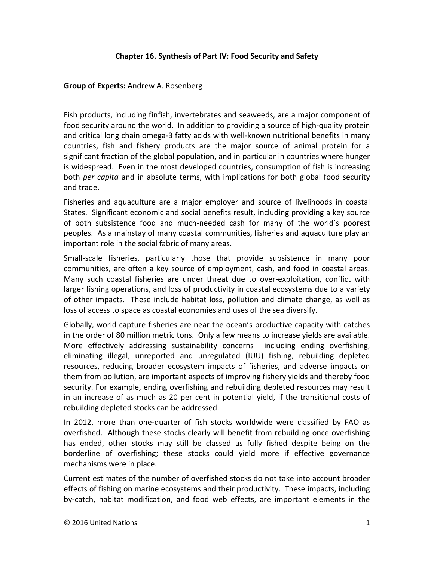#### **Chapter 16. Synthesis of Part IV: Food Security and Safety**

#### **Group of Experts:** Andrew A. Rosenberg

Fish products, including finfish, invertebrates and seaweeds, are a major component of food security around the world. In addition to providing a source of high-quality protein and critical long chain omega-3 fatty acids with well-known nutritional benefits in many countries, fish and fishery products are the major source of animal protein for a significant fraction of the global population, and in particular in countries where hunger is widespread. Even in the most developed countries, consumption of fish is increasing both *per capita* and in absolute terms, with implications for both global food security and trade.

Fisheries and aquaculture are a major employer and source of livelihoods in coastal States. Significant economic and social benefits result, including providing a key source of both subsistence food and much-needed cash for many of the world's poorest peoples. As a mainstay of many coastal communities, fisheries and aquaculture play an important role in the social fabric of many areas.

Small-scale fisheries, particularly those that provide subsistence in many poor communities, are often a key source of employment, cash, and food in coastal areas. Many such coastal fisheries are under threat due to over-exploitation, conflict with larger fishing operations, and loss of productivity in coastal ecosystems due to a variety of other impacts. These include habitat loss, pollution and climate change, as well as loss of access to space as coastal economies and uses of the sea diversify.

Globally, world capture fisheries are near the ocean's productive capacity with catches in the order of 80 million metric tons. Only a few means to increase yields are available. More effectively addressing sustainability concerns including ending overfishing, eliminating illegal, unreported and unregulated (IUU) fishing, rebuilding depleted resources, reducing broader ecosystem impacts of fisheries, and adverse impacts on them from pollution, are important aspects of improving fishery yields and thereby food security. For example, ending overfishing and rebuilding depleted resources may result in an increase of as much as 20 per cent in potential yield, if the transitional costs of rebuilding depleted stocks can be addressed.

In 2012, more than one-quarter of fish stocks worldwide were classified by FAO as overfished. Although these stocks clearly will benefit from rebuilding once overfishing has ended, other stocks may still be classed as fully fished despite being on the borderline of overfishing; these stocks could yield more if effective governance mechanisms were in place.

Current estimates of the number of overfished stocks do not take into account broader effects of fishing on marine ecosystems and their productivity. These impacts, including by-catch, habitat modification, and food web effects, are important elements in the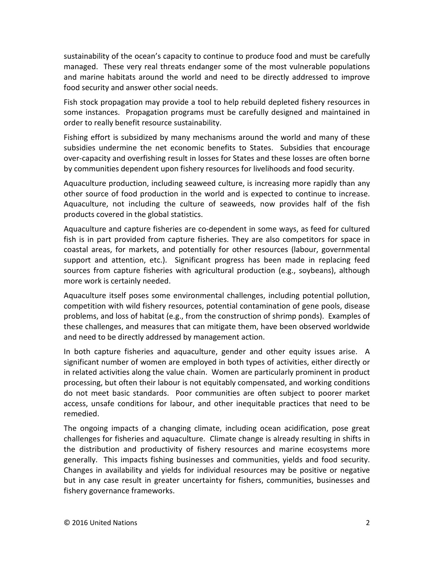sustainability of the ocean's capacity to continue to produce food and must be carefully managed. These very real threats endanger some of the most vulnerable populations and marine habitats around the world and need to be directly addressed to improve food security and answer other social needs.

Fish stock propagation may provide a tool to help rebuild depleted fishery resources in some instances. Propagation programs must be carefully designed and maintained in order to really benefit resource sustainability.

Fishing effort is subsidized by many mechanisms around the world and many of these subsidies undermine the net economic benefits to States. Subsidies that encourage over-capacity and overfishing result in losses for States and these losses are often borne by communities dependent upon fishery resources for livelihoods and food security.

Aquaculture production, including seaweed culture, is increasing more rapidly than any other source of food production in the world and is expected to continue to increase. Aquaculture, not including the culture of seaweeds, now provides half of the fish products covered in the global statistics.

Aquaculture and capture fisheries are co-dependent in some ways, as feed for cultured fish is in part provided from capture fisheries. They are also competitors for space in coastal areas, for markets, and potentially for other resources (labour, governmental support and attention, etc.). Significant progress has been made in replacing feed sources from capture fisheries with agricultural production (e.g., soybeans), although more work is certainly needed.

Aquaculture itself poses some environmental challenges, including potential pollution, competition with wild fishery resources, potential contamination of gene pools, disease problems, and loss of habitat (e.g., from the construction of shrimp ponds). Examples of these challenges, and measures that can mitigate them, have been observed worldwide and need to be directly addressed by management action.

In both capture fisheries and aquaculture, gender and other equity issues arise. A significant number of women are employed in both types of activities, either directly or in related activities along the value chain. Women are particularly prominent in product processing, but often their labour is not equitably compensated, and working conditions do not meet basic standards. Poor communities are often subject to poorer market access, unsafe conditions for labour, and other inequitable practices that need to be remedied.

The ongoing impacts of a changing climate, including ocean acidification, pose great challenges for fisheries and aquaculture. Climate change is already resulting in shifts in the distribution and productivity of fishery resources and marine ecosystems more generally. This impacts fishing businesses and communities, yields and food security. Changes in availability and yields for individual resources may be positive or negative but in any case result in greater uncertainty for fishers, communities, businesses and fishery governance frameworks.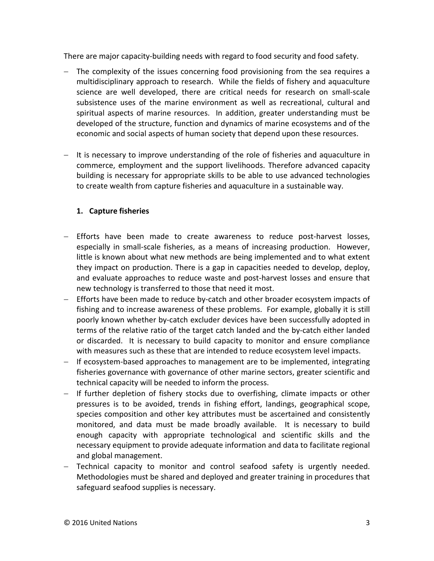There are major capacity-building needs with regard to food security and food safety.

- − The complexity of the issues concerning food provisioning from the sea requires a multidisciplinary approach to research. While the fields of fishery and aquaculture science are well developed, there are critical needs for research on small-scale subsistence uses of the marine environment as well as recreational, cultural and spiritual aspects of marine resources. In addition, greater understanding must be developed of the structure, function and dynamics of marine ecosystems and of the economic and social aspects of human society that depend upon these resources.
- − It is necessary to improve understanding of the role of fisheries and aquaculture in commerce, employment and the support livelihoods. Therefore advanced capacity building is necessary for appropriate skills to be able to use advanced technologies to create wealth from capture fisheries and aquaculture in a sustainable way.

## **1. Capture fisheries**

- − Efforts have been made to create awareness to reduce post-harvest losses, especially in small-scale fisheries, as a means of increasing production. However, little is known about what new methods are being implemented and to what extent they impact on production. There is a gap in capacities needed to develop, deploy, and evaluate approaches to reduce waste and post-harvest losses and ensure that new technology is transferred to those that need it most.
- − Efforts have been made to reduce by-catch and other broader ecosystem impacts of fishing and to increase awareness of these problems. For example, globally it is still poorly known whether by-catch excluder devices have been successfully adopted in terms of the relative ratio of the target catch landed and the by-catch either landed or discarded. It is necessary to build capacity to monitor and ensure compliance with measures such as these that are intended to reduce ecosystem level impacts.
- − If ecosystem-based approaches to management are to be implemented, integrating fisheries governance with governance of other marine sectors, greater scientific and technical capacity will be needed to inform the process.
- − If further depletion of fishery stocks due to overfishing, climate impacts or other pressures is to be avoided, trends in fishing effort, landings, geographical scope, species composition and other key attributes must be ascertained and consistently monitored, and data must be made broadly available. It is necessary to build enough capacity with appropriate technological and scientific skills and the necessary equipment to provide adequate information and data to facilitate regional and global management.
- − Technical capacity to monitor and control seafood safety is urgently needed. Methodologies must be shared and deployed and greater training in procedures that safeguard seafood supplies is necessary.